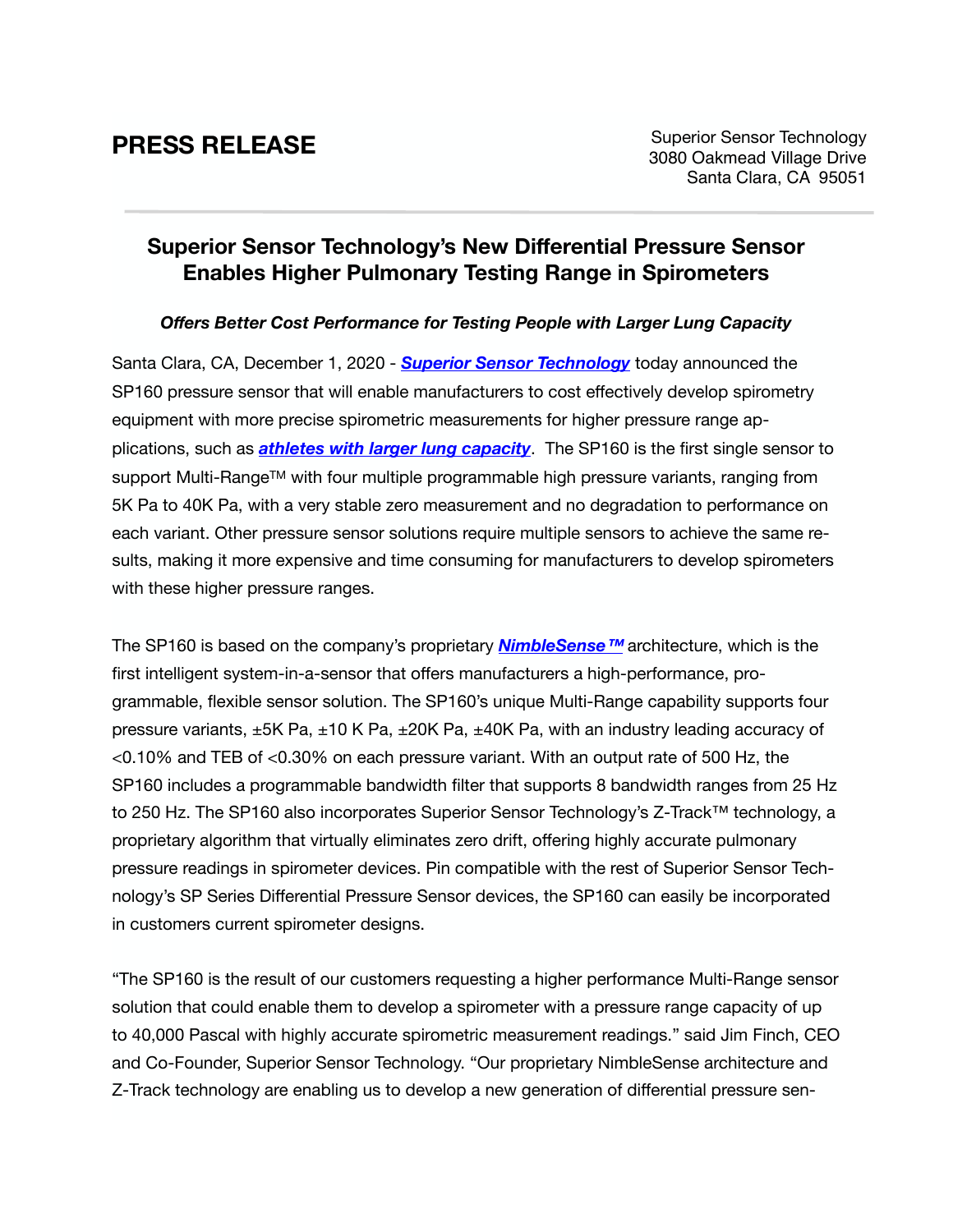## **Superior Sensor Technology's New Differential Pressure Sensor Enables Higher Pulmonary Testing Range in Spirometers**

## *Offers Better Cost Performance for Testing People with Larger Lung Capacity*

Santa Clara, CA, December 1, 2020 - *[Superior Sensor Technology](https://superiorsensors.com)* today announced the SP160 pressure sensor that will enable manufacturers to cost effectively develop spirometry equipment with more precise spirometric measurements for higher pressure range applications, such as *[athletes with larger lung capacity](https://aluna.blog/how-top-athletes-use-spirometry-for-sports-enhancement/#elementor-toc__heading-anchor-0)*. The SP160 is the first single sensor to support Multi-Range™ with four multiple programmable high pressure variants, ranging from 5K Pa to 40K Pa, with a very stable zero measurement and no degradation to performance on each variant. Other pressure sensor solutions require multiple sensors to achieve the same results, making it more expensive and time consuming for manufacturers to develop spirometers with these higher pressure ranges.

The SP160 is based on the company's proprietary *[NimbleSense™](https://superiorsensors.com/products/differential-pressure-sensors/#nimblesense)* architecture, which is the first intelligent system-in-a-sensor that offers manufacturers a high-performance, programmable, flexible sensor solution. The SP160's unique Multi-Range capability supports four pressure variants,  $\pm$ 5K Pa,  $\pm$ 10 K Pa,  $\pm$ 20K Pa,  $\pm$ 40K Pa, with an industry leading accuracy of <0.10% and TEB of <0.30% on each pressure variant. With an output rate of 500 Hz, the SP160 includes a programmable bandwidth filter that supports 8 bandwidth ranges from 25 Hz to 250 Hz. The SP160 also incorporates Superior Sensor Technology's Z-Track™ technology, a proprietary algorithm that virtually eliminates zero drift, offering highly accurate pulmonary pressure readings in spirometer devices. Pin compatible with the rest of Superior Sensor Technology's SP Series Differential Pressure Sensor devices, the SP160 can easily be incorporated in customers current spirometer designs.

"The SP160 is the result of our customers requesting a higher performance Multi-Range sensor solution that could enable them to develop a spirometer with a pressure range capacity of up to 40,000 Pascal with highly accurate spirometric measurement readings." said Jim Finch, CEO and Co-Founder, Superior Sensor Technology. "Our proprietary NimbleSense architecture and Z-Track technology are enabling us to develop a new generation of differential pressure sen